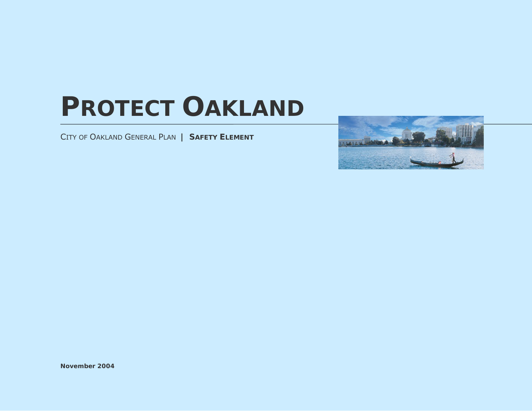# <span id="page-0-0"></span>*PROTECT OAKLAND*

CITY OF OAKLAND GENERAL PLAN **| SAFETY ELEMENT**



**November 2004**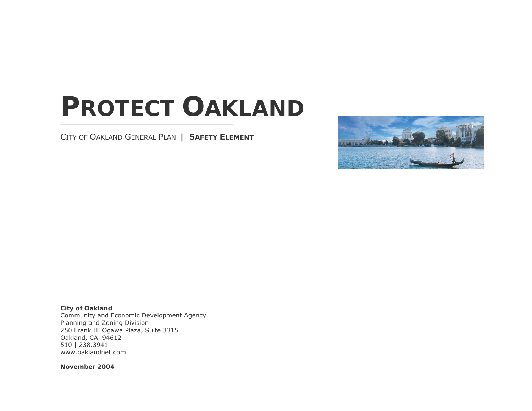# *PROTECT OAKLAND*

CITY OF OAKLAND GENERAL PLAN **| SAFETY ELEMENT**



**City of Oakland**  Community and Economic Development Agency Planning and Zoning Division 250 Frank H. Ogawa Plaza, Suite 3315 Oakland, CA 94612 510 | 238.3941 www.oaklandnet.com

**November 2004**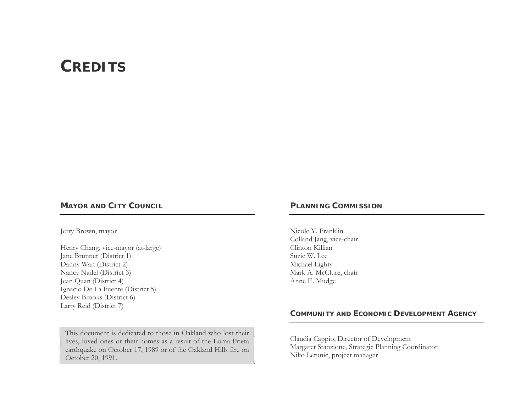## **CREDITS**

### **MAYOR AND CITY COUNCIL**

Jerry Brown, mayor

Henry Chang, vice-mayor (at-large) Jane Brunner (District 1) Danny Wan (District 2) Nancy Nadel (District 3) Jean Quan (District 4) Ignacio De La Fuente (District 5) Desley Brooks (District 6) Larry Reid (District 7)

#### **PLANNING COMMISSION**

Nicole Y. Franklin Colland Jang, vice-chair Clinton Killian Suzie W. Lee Michael Lighty Mark A. McClure, chair Anne E. Mudge

#### **COMMUNITY AND ECONOMIC DEVELOPMENT AGENCY**

<span id="page-4-0"></span>This document is dedicated to those in Oakland who lost their lives, loved ones or their homes as a result of the Loma Prieta earthquake on October 17, 1989 or of the Oakland Hills fire on October 20, 1991.

Claudia Cappio, Director of Development Margaret Stanzione, Strategic Planning Coordinator Niko Letunic, project manager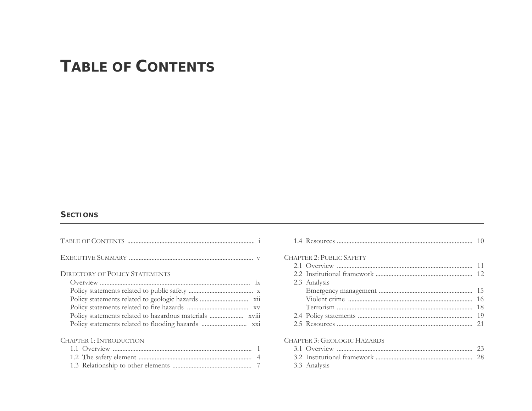## **TABLE OF CONTENTS**

#### **SECTIONS**

<span id="page-6-2"></span><span id="page-6-0"></span>

| <b>DIRECTORY OF POLICY STATEMENTS</b> |
|---------------------------------------|
| 1X                                    |
|                                       |
|                                       |
|                                       |
|                                       |
|                                       |
| <b>CHAPTER 1: INTRODUCTION</b>        |
|                                       |

<span id="page-6-3"></span><span id="page-6-1"></span>

|                                    | 10  |
|------------------------------------|-----|
| <b>CHAPTER 2: PUBLIC SAFETY</b>    |     |
|                                    |     |
|                                    |     |
| 2.3 Analysis                       |     |
|                                    |     |
|                                    | 16  |
|                                    | 18  |
|                                    | 19  |
|                                    | -21 |
|                                    |     |
| <b>CHAPTER 3: GEOLOGIC HAZARDS</b> |     |
| $31 \text{ N}$                     | つつ  |

#### [3.1 Overview](#page-0-0) .................................................................................... 23 [3.2 Institutional framework](#page-0-0) ............................................................ 28 [3.3 Analysis](#page-0-0)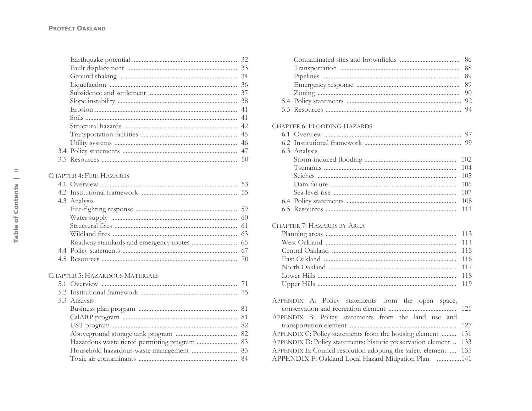#### **CHAPTER 4: FIRE HAZARDS**

| 4.3 Analysis |  |
|--------------|--|
|              |  |
|              |  |
|              |  |
|              |  |
|              |  |
|              |  |
|              |  |

#### CHAPTER 5: HAZARDOUS MATERIALS

| 5.3 Analysis                                  |  |
|-----------------------------------------------|--|
|                                               |  |
|                                               |  |
|                                               |  |
|                                               |  |
| Hazardous waste tiered permitting program  83 |  |
|                                               |  |
|                                               |  |
|                                               |  |

#### 2 CHAPTER 6: FLOODING HAZARDS

| 6.3 Analysis |  |
|--------------|--|
|              |  |
|              |  |
|              |  |
|              |  |
|              |  |
|              |  |
|              |  |

#### CHAPTER 7: HAZARDS BY AREA

| APPENDIX A: Policy statements from the open space,                |  |  |  |  |
|-------------------------------------------------------------------|--|--|--|--|
|                                                                   |  |  |  |  |
| APPENDIX B: Policy statements from the land use and               |  |  |  |  |
|                                                                   |  |  |  |  |
| APPENDIX C: Policy statements from the housing element  131       |  |  |  |  |
| APPENDIX D: Policy statements: historic preservation element  133 |  |  |  |  |
| APPENDIX E: Council resolution adopting the safety element  135   |  |  |  |  |
| APPENDIX F: Oakland Local Hazard Mitigation Plan  141             |  |  |  |  |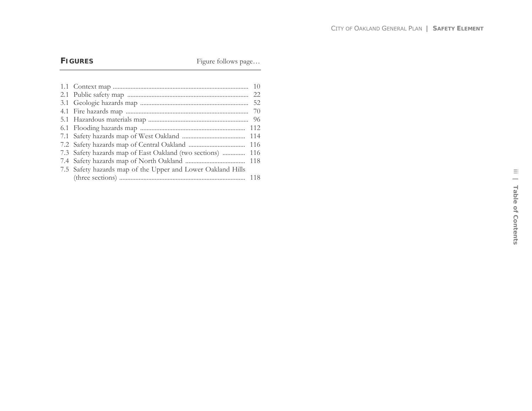| <b>FIGURES</b> | Figure follows page |
|----------------|---------------------|
|----------------|---------------------|

|                                                             | 70  |
|-------------------------------------------------------------|-----|
|                                                             |     |
|                                                             |     |
|                                                             |     |
|                                                             |     |
| 7.3 Safety hazards map of East Oakland (two sections)       | 116 |
|                                                             |     |
| 7.5 Safety hazards map of the Upper and Lower Oakland Hills |     |
|                                                             |     |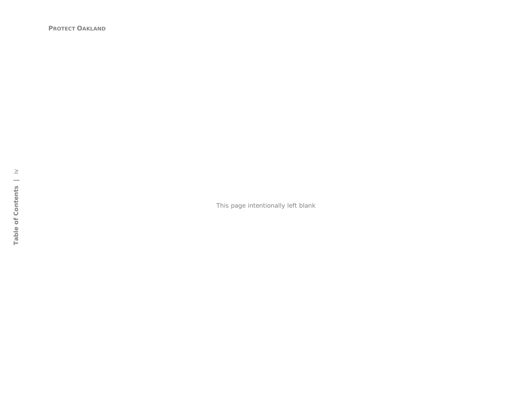*This page intentionally left blank*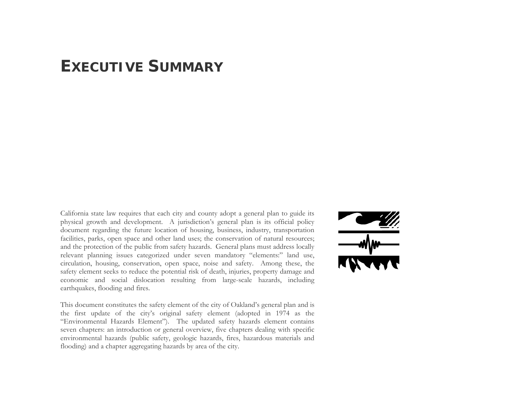## <span id="page-10-0"></span>**EXECUTIVE SUMMARY**

California state law requires that each city and county adopt a general plan to guide its physical growth and development. A jurisdiction's general plan is its official policy document regarding the future location of housing, business, industry, transportation facilities, parks, open space and other land uses; the conservation of natural resources; and the protection of the public from safety hazards. General plans must address locally relevant planning issues categorized under seven mandatory "elements:" land use, circulation, housing, conservation, open space, noise and safety. Among these, the safety element seeks to reduce the potential risk of death, injuries, property damage and economic and social dislocation resulting from large-scale hazards, including earthquakes, flooding and fires.



This document constitutes the safety element of the city of Oakland's general plan and is the first update of the city's original safety element (adopted in 1974 as the "Environmental Hazards Element"). The updated safety hazards element contains seven chapters: an introduction or general overview, five chapters dealing with specific environmental hazards (public safety, geologic hazards, fires, hazardous materials and flooding) and a chapter aggregating hazards by area of the city.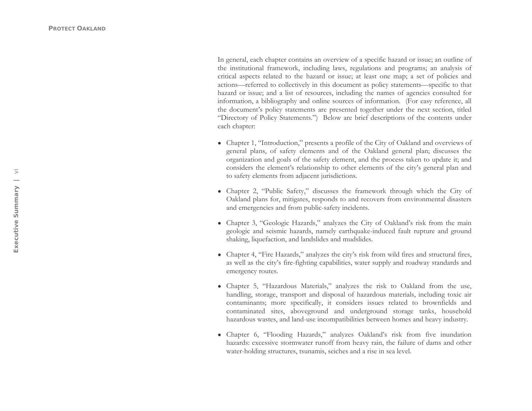In general, each chapter contains an overview of a specific hazard or issue; an outline of the institutional framework, including laws, regulations and programs; an analysis of critical aspects related to the hazard or issue; at least one map; a set of policies and actions—referred to collectively in this document as policy statements—specific to that hazard or issue; and a list of resources, including the names of agencies consulted for information, a bibliography and online sources of information. (For easy reference, all the document's policy statements are presented together under the next section, titled "Directory of Policy Statements.") Below are brief descriptions of the contents under each chapter:

- Chapter 1, "Introduction," presents a profile of the City of Oakland and overviews of general plans, of safety elements and of the Oakland general plan; discusses the organization and goals of the safety element, and the process taken to update it; and considers the element's relationship to other elements of the city's general plan and
- Chapter 2, "Public Safety," discusses the framework through which the City of Oakland plans for, mitigates, responds to and recovers from environmental disasters and emergencies and from public-safety incidents.
- **The safety elements from adjacent jurisdictions.**<br> **•** Chapter 2, "Public Safety," discusses the f<br>
Oakland plans for, mitigates, responds to and<br>
and emergencies and from public-safety incide<br>
 Chapter 3, "Geologic Haza • Chapter 3, "Geologic Hazards," analyzes the City of Oakland's risk from the main geologic and seismic hazards, namely earthquake-induced fault rupture and ground shaking, liquefaction, and landslides and mudslides.
	- Chapter 4, "Fire Hazards," analyzes the city's risk from wild fires and structural fires, as well as the city's fire-fighting capabilities, water supply and roadway standards and emergency routes.
	- Chapter 5, "Hazardous Materials," analyzes the risk to Oakland from the use, handling, storage, transport and disposal of hazardous materials, including toxic air contaminants; more specifically, it considers issues related to brownfields and contaminated sites, aboveground and underground storage tanks, household hazardous wastes, and land-use incompatibilities between homes and heavy industry.
	- Chapter 6, "Flooding Hazards," analyzes Oakland's risk from five inundation hazards: excessive stormwater runoff from heavy rain, the failure of dams and other water-holding structures, tsunamis, seiches and a rise in sea level.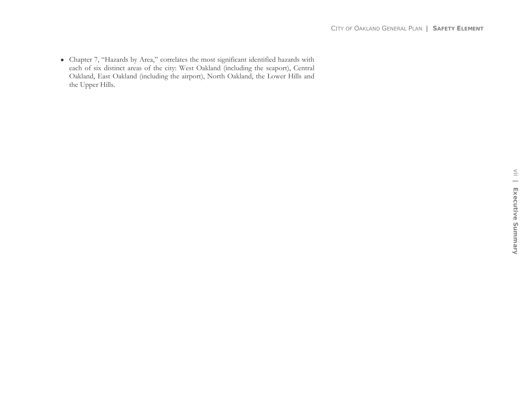● Chapter 7, "Hazards by Area," correlates the most significant identified hazards with each of six distinct areas of the city: West Oakland (including the seaport), Central Oakland, East Oakland (including the airport), North Oakland, the Lower Hills and the Upper Hills.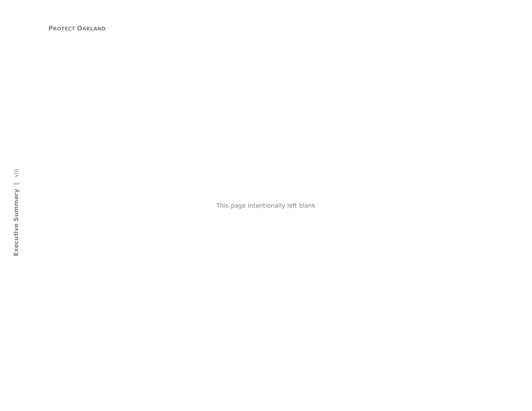*PROTECT OAKLAND*

**EXECUTIVE SUMMARY** *This page intentionally left blank* $\frac{1}{2}$  **and**  $\frac{1}{2}$  **and**  $\frac{1}{2}$  **and**  $\frac{1}{2}$  **and**  $\frac{1}{2}$  **and**  $\frac{1}{2}$  **and**  $\frac{1}{2}$  **and**  $\frac{1}{2}$  **and**  $\frac{1}{2}$  **and**  $\frac{1}{2}$  **and**  $\frac{1}{2}$  **and**  $\frac{1}{2}$  **an**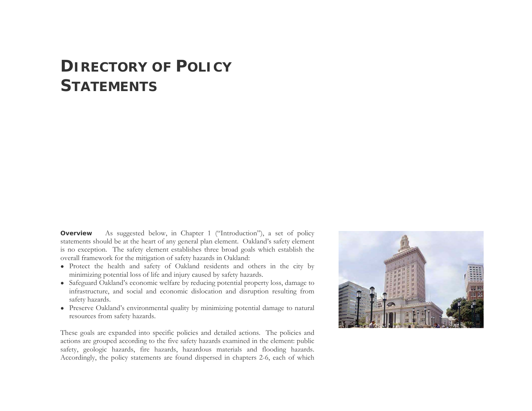## <span id="page-14-0"></span>**DIRECTORY OF POLICY STATEMENTS**

<span id="page-14-1"></span>**Overview** As suggested below, in Chapter 1 ("Introduction"), a set of policy statements should be at the heart of any general plan element. Oakland's safety element is no exception. The safety element establishes three broad goals which establish the overall framework for the mitigation of safety hazards in Oakland:

- Protect the health and safety of Oakland residents and others in the city by minimizing potential loss of life and injury caused by safety hazards.
- Safeguard Oakland's economic welfare by reducing potential property loss, damage to infrastructure, and social and economic dislocation and disruption resulting from safety hazards.
- Preserve Oakland's environmental quality by minimizing potential damage to natural resources from safety hazards.

These goals are expanded into specific policies and detailed actions. The policies and actions are grouped according to the five safety hazards examined in the element: public safety, geologic hazards, fire hazards, hazardous materials and flooding hazards. Accordingly, the policy statements are found dispersed in chapters 2-6, each of which

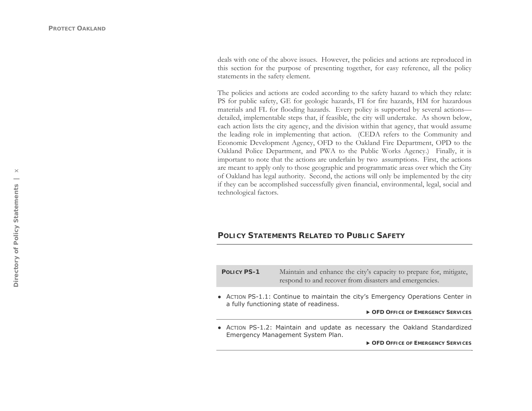deals with one of the above issues. However, the policies and actions are reproduced in this section for the purpose of presenting together, for easy reference, all the policy statements in the safety element.

<span id="page-15-1"></span>The policies and actions are coded according to the safety hazard to which they relate: PS for public safety, GE for geologic hazards, FI for fire hazards, HM for hazardous materials and FL for flooding hazards. Every policy is supported by several actions detailed, implementable steps that, if feasible, the city will undertake. As shown below, each action lists the city agency, and the division within that agency, that would assume the leading role in implementing that action. (CEDA refers to the Community and Economic Development Agency, OFD to the Oakland Fire Department, OPD to the Oakland Police Department, and PWA to the Public Works Agency.) Finally, it is important to note that the actions are underlain by two assumptions. First, the actions are meant to apply only to those geographic and programmatic areas over which the City of Oakland has legal authority. Second, the actions will only be implemented by the city if they can be accomplished successfully given financial, environmental, legal, social and technological factors.

#### <span id="page-15-0"></span>**POLICY STATEMENTS RELATED TO PUBLIC SAFETY**

- **POLICY PS-1** Maintain and enhance the city's capacity to prepare for, mitigate, respond to and recover from disasters and emergencies.
- ACTION PS-1.1: Continue to maintain the city's Emergency Operations Center in a fully functioning state of readiness.

**DED OFFICE OF EMERGENCY SERVICES** 

● ACTION PS-1.2: Maintain and update as necessary the Oakland Standardized Emergency Management System Plan.

**DED OFFICE OF EMERGENCY SERVICES**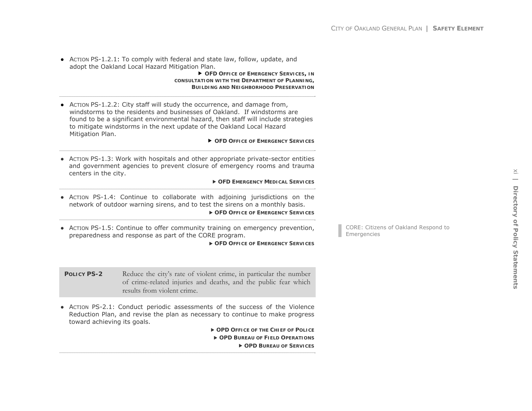● ACTION PS-1.2.1: To comply with federal and state law, follow, update, and adopt the Oakland Local Hazard Mitigation Plan.

 **OFD OFFICE OF EMERGENCY SERVICES, IN CONSULTATION WITH THE DEPARTMENT OF PLANNING, BUILDING AND NEIGHBORHOOD PRESERVATION**

● ACTION PS-1.2.2: City staff will study the occurrence, and damage from, windstorms to the residents and businesses of Oakland. If windstorms are found to be a significant environmental hazard, then staff will include strategies to mitigate windstorms in the next update of the Oakland Local Hazard Mitigation Plan.

**OFD OFFICE OF EMERGENCY SERVICES**

● ACTION PS-1.3: Work with hospitals and other appropriate private-sector entities and government agencies to prevent closure of emergency rooms and trauma centers in the city.

**OFD EMERGENCY MEDICAL SERVICES**

**■ DIRECTION PS-1.4: Continue to collaborate with adjoining jurisdictions on the network of outdoor warning sirens, and to test the sirens on a monthly basis.**<br> **• OFD OFFICE OF EMERGENCY SERVICES** 

**OFD** OFFICE OF EMERGENCY SERVICES<br>
• ACTION PS-1.5: Continue to offer community training on emergency prevention, preparedness and response as part of the CORE program.<br>
■ POFD OFFICE OF EMERGENCY SERVICES

- **OFFICE OF EMERGENCY SERVICES**<br> **OFFICE OF EMERGENCY SERVICES**<br> **OFFICE OF EMERGENCY SERVICES**<br> **OFFICE OF EMERGENCY SERVICES**<br> **OFFICE OF EMERGENCY SERVICES**<br> **OFFICE OF EMERGENCY SERVICES**<br> **OFFICE OF EMERGENCY SERVICES POLICY PS-2** Reduce the city's rate of violent crime, in particular the number<br>of crime-related injuries and deaths, and the public fear which<br>results from violent crime.
- ACTION PS-2.1: Conduct periodic assessments of the success of the Violence Reduction Plan, and revise the plan as necessary to continue to make progress toward achieving its goals.

 **OPD OFFICE OF THE CHIEF OF POLICE OPD BUREAU OF FIELD OPERATIONS OPD BUREAU OF SERVICES**

CORE: Citizens of Oakland Respond to **Emergencies**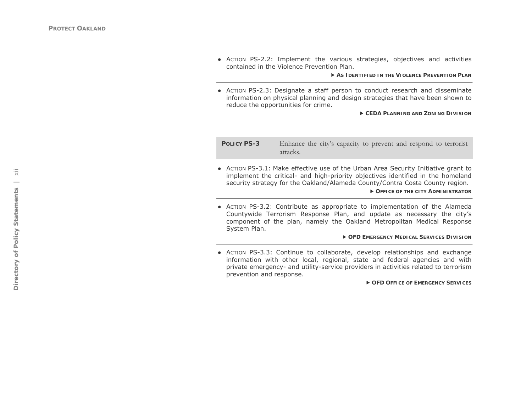● ACTION PS-2.2: Implement the various strategies, objectives and activities contained in the Violence Prevention Plan.

**AS IDENTIFIED IN THE VIOLENCE PREVENTION PLAN** 

● ACTION PS-2.3: Designate a staff person to conduct research and disseminate information on physical planning and design strategies that have been shown to reduce the opportunities for crime.

**CEDA PLANNING AND ZONING DIVISION**

**POLICY PS-3** Enhance the city's capacity to prevent and respond to terrorist attacks.

● ACTION PS-3.1: Make effective use of the Urban Area Security Initiative grant to implement the critical- and high-priority objectives identified in the homeland

**OFFICE OF THE CITY ADMINISTRATOR**

security strategy for the Oakland/Alameda County/Contra Costa County region.<br>
Security strategy for the Oakland/Alameda County/Contra Costa County region.<br> **Example 1998** Contribute as appropriate to implementation of the ● ACTION PS-3.2: Contribute as appropriate to implementation of the Alameda Countywide Terrorism Response Plan, and update as necessary the city's component of the plan, namely the Oakland Metropolitan Medical Response System Plan.

**OFD EMERGENCY MEDICAL SERVICES DIVISION**

● ACTION PS-3.3: Continue to collaborate, develop relationships and exchange information with other local, regional, state and federal agencies and with private emergency- and utility-service providers in activities related to terrorism prevention and response.

 $\triangleright$  **OFD OFFICE OF EMERGENCY SERVICES**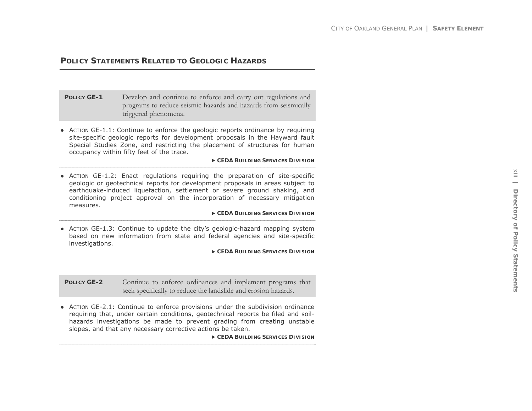#### <span id="page-18-0"></span>**POLICY STATEMENTS RELATED TO GEOLOGIC HAZARDS**

- **POLICY GE-1** Develop and continue to enforce and carry out regulations and programs to reduce seismic hazards and hazards from seismically triggered phenomena.
- ACTION GE-1.1: Continue to enforce the geologic reports ordinance by requiring site-specific geologic reports for development proposals in the Hayward fault Special Studies Zone, and restricting the placement of structures for human occupancy within fifty feet of the trace.

**CEDA BUILDING SERVICES DIVISION**

• ACTION GE-1.2: Enact regulations requiring the preparation of site-specific<br>geologic or geotechnical reports for development proposals in areas subject to geologic or geotechnical reports for development proposals in areas subject to earthquake-induced liquefaction, settlement or severe ground shaking, and conditioning project approval on the incorporation of necessary mitigation measures. **Example 18 Director CEDA** BUILDING SERVICES DIVISION<br>
▶ CEDA BUILDING SERVICES DIVISION<br>
▶ CEDA BUILDING SERVICES DIVISION

**POLICY GE-2** Continue to the reduced by the policine of necessary mitigation<br> **EXEDA BULDING SERVICES DIVISION**<br> **EXEDA BULDING SERVICES DIVISION**<br> **EXEDA BULDING SERVICES DIVISION**<br> **CEDA BULDING SERVICES DIVISION**<br> **CED** 

**<sup>y</sup> CEDA BUILDING SERVICES DIVISION**

**POLICY GE-2** Continue to enforce ordinances and implement programs that seek specifically to reduce the landslide and erosion hazards.

• ACTION GE-2.1: Continue to enforce provisions under the subdivision ordinance requiring that, under certain conditions, geotechnical reports be filed and soilhazards investigations be made to prevent grading from creating unstable slopes, and that any necessary corrective actions be taken.

**CEDA BUILDING SERVICES DIVISION**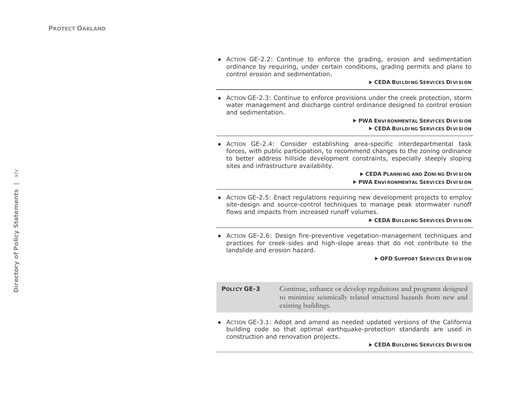● ACTION GE-2.2: Continue to enforce the grading, erosion and sedimentation ordinance by requiring, under certain conditions, grading permits and plans to control erosion and sedimentation.

**CEDA BUILDING SERVICES DIVISION**

● ACTION GE-2.3: Continue to enforce provisions under the creek protection, storm water management and discharge control ordinance designed to control erosion and sedimentation.

> **PWA ENVIRONMENTAL SERVICES DIVISION CEDA BUILDING SERVICES DIVISION**

● ACTION GE-2.4: Consider establishing area-specific interdepartmental task forces, with public participation, to recommend changes to the zoning ordinance to better address hillside development constraints, especially steeply sloping sites and infrastructure availability.

> **CEDA PLANNING AND ZONING DIVISION PWA ENVIRONMENTAL SERVICES DIVISION**

• ACTION GE-2.5: Enact regulations requiring new development projects to employ site-design and source-control techniques to manage peak stormwater runoff flows and impacts from increased runoff volumes.

**CEDA BUILDING SERVICES DIVISION**

● ACTION GE-2.6: Design fire-preventive vegetation-management techniques and practices for creek-sides and high-slope areas that do not contribute to the landslide and erosion hazard.

**OFD SUPPORT SERVICES DIVISION**

**POLICY GE-3** Continue, enhance or develop regulations and programs designed to minimize seismically related structural hazards from new and existing buildings.

● ACTION GE-3.1: Adopt and amend as needed updated versions of the California building code so that optimal earthquake-protection standards are used in construction and renovation projects.

**CEDA BUILDING SERVICES DIVISION**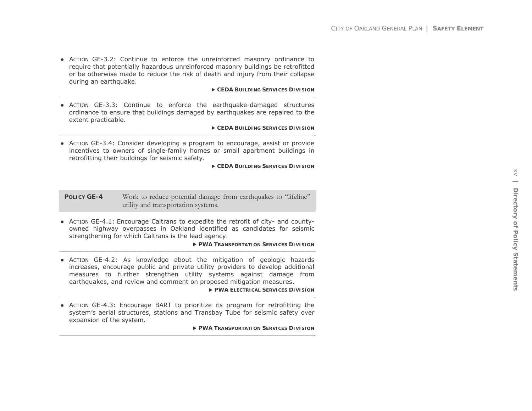● ACTION GE-3.2: Continue to enforce the unreinforced masonry ordinance to require that potentially hazardous unreinforced masonry buildings be retrofitted or be otherwise made to reduce the risk of death and injury from their collapse during an earthquake.

**CEDA BUILDING SERVICES DIVISION**

● ACTION GE-3.3: Continue to enforce the earthquake-damaged structures ordinance to ensure that buildings damaged by earthquakes are repaired to the extent practicable.

**CEDA BUILDING SERVICES DIVISION**

● ACTION GE-3.4: Consider developing a program to encourage, assist or provide incentives to owners of single-family homes or small apartment buildings in retrofitting their buildings for seismic safety.

**CEDA BUILDING SERVICES DIVISION**

| <b>POLICY GE-4</b> | Work to reduce potential damage from earthquakes to "lifeline"<br>utility and transportation systems. |
|--------------------|-------------------------------------------------------------------------------------------------------|
|                    |                                                                                                       |

● ACTION GE-4.1: Encourage Caltrans to expedite the retrofit of city- and countyowned highway overpasses in Oakland identified as candidates for seismic strengthening for which Caltrans is the lead agency. pedite the retrofit of city- and county-<br>1 identified as candidates for seismic<br>ead agency.<br>► PWA TRANSPORTATION SERVICES DIVISION

**PWA TRANSPORTATION SERVICES DIVISION**

• ACTION GE-4.2: As knowledge about the mitigation of geologic hazards<br>increases, encourage public and private utility providers to develop additional<br>measures to further strengthen utility systems against damage from<br>ear

• ACTION GE-4.3: Encourage BART to prioritize its program for retrofitting the system's aerial structures, stations and Transbay Tube for seismic safety over expansion of the system.

**PWA TRANSPORTATION SERVICES DIVISION**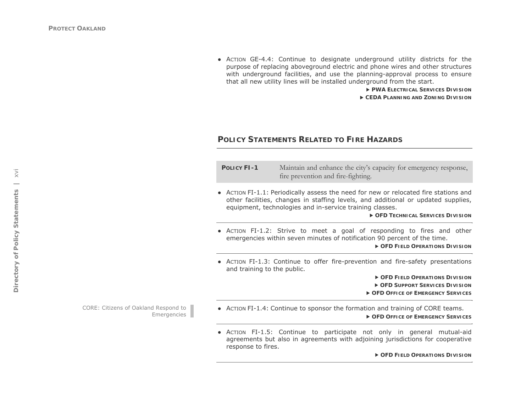● ACTION GE-4.4: Continue to designate underground utility districts for the purpose of replacing aboveground electric and phone wires and other structures with underground facilities, and use the planning-approval process to ensure that all new utility lines will be installed underground from the start.

> **PWA ELECTRICAL SERVICES DIVISION CEDA PLANNING AND ZONING DIVISION**

### **POLICY STATEMENTS RELATED TO FIRE HAZARDS**

<span id="page-21-0"></span>

| Maintain and enhance the city's capacity for emergency response,<br><b>POLICY FI-1</b><br>fire prevention and fire-fighting.                                                                                                                                             |                                                     |  | $\overline{\times}$            |
|--------------------------------------------------------------------------------------------------------------------------------------------------------------------------------------------------------------------------------------------------------------------------|-----------------------------------------------------|--|--------------------------------|
| • ACTION FI-1.1: Periodically assess the need for new or relocated fire stations and<br>other facilities, changes in staffing levels, and additional or updated supplies,<br>equipment, technologies and in-service training classes.<br>OFD TECHNICAL SERVICES DIVISION |                                                     |  |                                |
| • ACTION FI-1.2: Strive to meet a goal of responding to fires and other<br>emergencies within seven minutes of notification 90 percent of the time.<br>OFD FIELD OPERATIONS DIVISION                                                                                     |                                                     |  | Directory of Policy Statements |
| • ACTION FI-1.3: Continue to offer fire-prevention and fire-safety presentations<br>and training to the public.                                                                                                                                                          |                                                     |  |                                |
| OFD FIELD OPERATIONS DIVISION<br>OFD SUPPORT SERVICES DIVISION<br>OFD OFFICE OF EMERGENCY SERVICES                                                                                                                                                                       |                                                     |  |                                |
| • ACTION FI-1.4: Continue to sponsor the formation and training of CORE teams.<br>OFD OFFICE OF EMERGENCY SERVICES                                                                                                                                                       | CORE: Citizens of Oakland Respond to<br>Emergencies |  |                                |
| • ACTION FI-1.5: Continue to participate not only in general mutual-aid<br>agreements but also in agreements with adjoining jurisdictions for cooperative<br>response to fires.                                                                                          |                                                     |  |                                |

**OFD FIELD OPERATIONS DIVISION**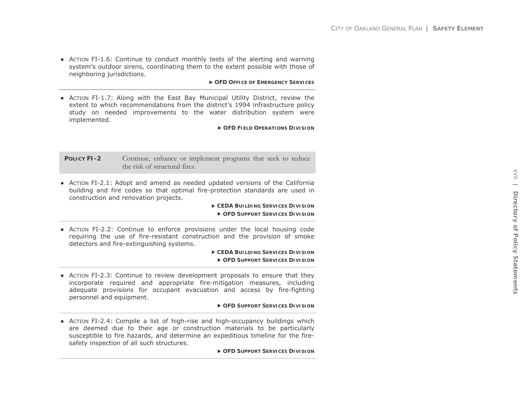● ACTION FI-1.6: Continue to conduct monthly tests of the alerting and warning system's outdoor sirens, coordinating them to the extent possible with those of neighboring jurisdictions.

**OFD OFFICE OF EMERGENCY SERVICES**

● ACTION FI-1.7: Along with the East Bay Municipal Utility District, review the extent to which recommendations from the district's 1994 infrastructure policy study on needed improvements to the water distribution system were implemented.

**OFD FIELD OPERATIONS DIVISION**

**POLICY FI-2** Continue, enhance or implement programs that seek to reduce the risk of structural fires.

● ACTION FI-2.1: Adopt and amend as needed updated versions of the California building and fire codes so that optimal fire-protection standards are used in construction and renovation projects. Protection standards are used in<br>
► CEDA BUILDING SERVICES DIVISION<br>
► OFD SUPPORT SERVICES DIVISION

• ACTION FI-2.2: Continue to enforce provisions under the local housing code requiring the use of fire-resistant construction and the provision of smoke detectors and fire-extinguishing systems.

▶ CEDA BUILDING SERVICES DIVISION

• ACTION FI-2.3: Continue to review development proposals to ensure that they<br>incorporate required and appropriate fire-mitigation measures, including<br>adequate provisions for occupant evacuation and access by fire-fightin personnel and equipment.

**OFD SUPPORT SERVICES DIVISION**

● ACTION FI-2.4: Compile a list of high-rise and high-occupancy buildings which are deemed due to their age or construction materials to be particularly susceptible to fire hazards, and determine an expeditious timeline for the firesafety inspection of all such structures.

**OFD SUPPORT SERVICES DIVISION**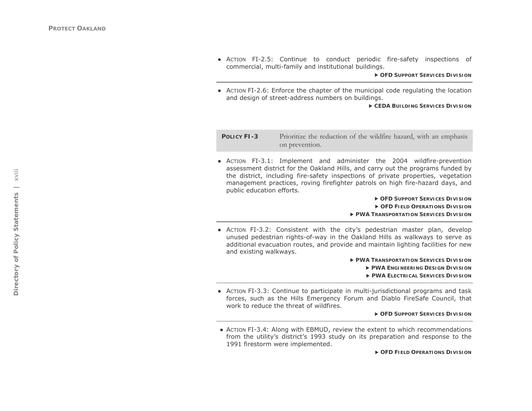● ACTION FI-2.5: Continue to conduct periodic fire-safety inspections of commercial, multi-family and institutional buildings.

**OFD SUPPORT SERVICES DIVISION**

● ACTION FI-2.6: Enforce the chapter of the municipal code regulating the location and design of street-address numbers on buildings.

**CEDA BUILDING SERVICES DIVISION**

**POLICY FI-3** Prioritize the reduction of the wildfire hazard, with an emphasis on prevention.

● ACTION FI-3.1: Implement and administer the 2004 wildfire-prevention assessment district for the Oakland Hills, and carry out the programs funded by the district, including fire-safety inspections of private properties, vegetation management practices, roving firefighter patrols on high fire-hazard days, and public education efforts.

> **OFD SUPPORT SERVICES DIVISION OFD FIELD OPERATIONS DIVISIONPWA TRANSPORTATION SERVICES DIVISION**

● ACTION FI-3.2: Consistent with the city's pedestrian master plan, develop unused pedestrian rights-of-way in the Oakland Hills as walkways to serve as additional evacuation routes, and provide and maintain lighting facilities for new and existing walkways.

> **PWA TRANSPORTATION SERVICES DIVISION PWA ENGINEERING DESIGN DIVISION PWA ELECTRICAL SERVICES DIVISION**

● ACTION FI-3.3: Continue to participate in multi-jurisdictional programs and task forces, such as the Hills Emergency Forum and Diablo FireSafe Council, that work to reduce the threat of wildfires.

**OFD SUPPORT SERVICES DIVISION**

● ACTION FI-3.4: Along with EBMUD, review the extent to which recommendations from the utility's district's 1993 study on its preparation and response to the 1991 firestorm were implemented.

**OFD FIELD OPERATIONS DIVISION**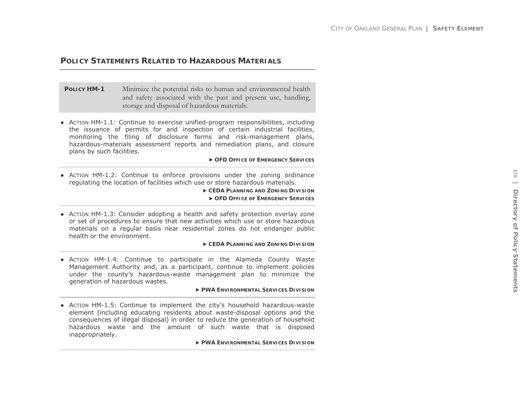#### <span id="page-24-0"></span>**POLICY STATEMENTS RELATED TO HAZARDOUS MATERIALS**

- **POLICY HM-1** Minimize the potential risks to human and environmental health and safety associated with the past and present use, handling, storage and disposal of hazardous materials.
- ACTION HM-1.1: Continue to exercise unified-program responsibilities, including the issuance of permits for and inspection of certain industrial facilities, monitoring the filing of disclosure forms and risk-management plans, hazardous-materials assessment reports and remediation plans, and closure plans by such facilities.

**OFD OFFICE OF EMERGENCY SERVICES**

• Action HM-1.2: Continue to enforce provisions under the zoning ordinance

regulating the location of facilities which use or store hazardous materials.<br>  $\rightarrow$  CEDA PLANNING AND ZONING DIVISION<br>  $\rightarrow$  OFD OFFICE OF EMERGENCY SERVICES<br>
• ACTION HM-1.3: Consider adopting a health and safety protecti or set of procedures to ensure that new activities which use or store hazardous materials on a regular basis near residential zones do not endanger public health or the environment. **Find the Solution Science of Store hazardous**<br> **CEDA PLANNING AND ZONING DIVISION**<br>
■ CEDA **PLANNING** AND ZONING DIVISION

• ACTION HM-1.4: Continue to participate in the Alameda County Waste<br>
Management Authority and, as a participant, continue to implement policies<br>
under the county's hazardous-waste management plan to minimize the<br>
generat

● ACTION HM-1.5: Continue to implement the city's household hazardous-waste element (including educating residents about waste-disposal options and the consequences of illegal disposal) in order to reduce the generation of household hazardous waste and the amount of such waste that is disposed inappropriately.

**PWA ENVIRONMENTAL SERVICES DIVISION**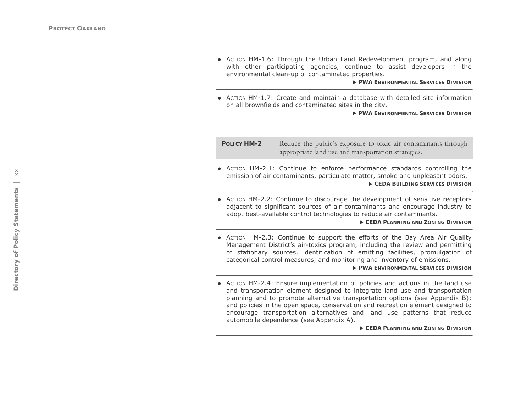● ACTION HM-1.6: Through the Urban Land Redevelopment program, and along with other participating agencies, continue to assist developers in the environmental clean-up of contaminated properties.

**PWA ENVIRONMENTAL SERVICES DIVISION**

● ACTION HM-1.7: Create and maintain a database with detailed site information on all brownfields and contaminated sites in the city.

**PWA ENVIRONMENTAL SERVICES DIVISION**

**POLICY HM-2** Reduce the public's exposure to toxic air contaminants through appropriate land use and transportation strategies.

● ACTION HM-2.1: Continue to enforce performance standards controlling the  $\frac{1}{2}$  emission of air contaminants, particulate matter, smoke and unpleasant odors.

**CEDA BUILDING SERVICES DIVISION**

● ACTION HM-2.2: Continue to discourage the development of sensitive receptors adjacent to significant sources of air contaminants and encourage industry to adopt best-available control technologies to reduce air contaminants.

**CEDA PLANNING AND ZONING DIVISION**

• ACTION HM-2.3: Continue to support the efforts of the Bay Area Air Quality Management District's air-toxics program, including the review and permitting of stationary sources, identification of emitting facilities, promulgation of **<sup>y</sup>**categorical control measures, and monitoring and inventory of emissions.

**PWA ENVIRONMENTAL SERVICES DIVISION**

● ACTION HM-2.4: Ensure implementation of policies and actions in the land use and transportation element designed to integrate land use and transportation planning and to promote alternative transportation options (see Appendix B); and policies in the open space, conservation and recreation element designed to encourage transportation alternatives and land use patterns that reduce automobile dependence (see Appendix A).

**CEDA PLANNING AND ZONING DIVISION**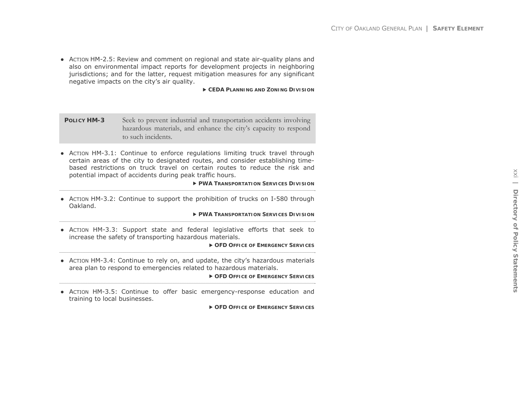● ACTION HM-2.5: Review and comment on regional and state air-quality plans and also on environmental impact reports for development projects in neighboring jurisdictions; and for the latter, request mitigation measures for any significant negative impacts on the city's air quality.

**CEDA PLANNING AND ZONING DIVISION**

- **POLICY HM-3** Seek to prevent industrial and transportation accidents involving hazardous materials, and enhance the city's capacity to respond to such incidents.
- ACTION HM-3.1: Continue to enforce regulations limiting truck travel through certain areas of the city to designated routes, and consider establishing timebased restrictions on truck travel on certain routes to reduce the risk and potential impact of accidents during peak traffic hours.

PWA TRANSPORTATION SERVICES DIVISION

**PWA TRANSPORTATION SERVICES DIVISION**<br>
■ ACTION HM-3.2: Continue to support the prohibition of trucks on I-580 through<br>
Dema TRANSPORTATION SERVICES DIVISION<br>
→ PWA TRANSPORTATION SERVICES DIVISION

**y of Polic** ● ACTION HM-3.3: Support state and federal legislative efforts that seek to increase the safety of transporting hazardous materials. **OFD OFFICE OF EMERGENCY SERVICES**

• ACTION HM-3.4: Continue to rely on, and update, the city's hazardous materials<br>area plan to respond to emergencies related to hazardous materials.<br>• ACTION HM-3.5: Continue to offer basic emergency-response education an

training to local businesses.

**OFD OFFICE OF EMERGENCY SERVICES**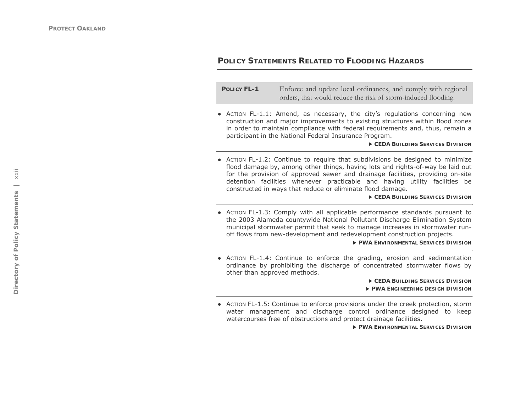#### <span id="page-27-0"></span>**POLICY STATEMENTS RELATED TO FLOODING HAZARDS**

**POLICY FL-1** Enforce and update local ordinances, and comply with regional orders, that would reduce the risk of storm-induced flooding.

• ACTION FL-1.1: Amend, as necessary, the city's regulations concerning new construction and major improvements to existing structures within flood zones in order to maintain compliance with federal requirements and, thus, remain a participant in the National Federal Insurance Program.

**CEDA BUILDING SERVICES DIVISION**

● ACTION FL-1.2: Continue to require that subdivisions be designed to minimize flood damage by, among other things, having lots and rights-of-way be laid out for the provision of approved sewer and drainage facilities, providing on-site detention facilities whenever practicable and having utility facilities be constructed in ways that reduce or eliminate flood damage.

**CEDA BUILDING SERVICES DIVISION**

● ACTION FL-1.3: Comply with all applicable performance standards pursuant to the 2003 Alameda countywide National Pollutant Discharge Elimination System municipal stormwater permit that seek to manage increases in stormwater runoff flows from new-development and redevelopment construction projects.

**PWA ENVIRONMENTAL SERVICES DIVISION**

● ACTION FL-1.4: Continue to enforce the grading, erosion and sedimentation ordinance by prohibiting the discharge of concentrated stormwater flows by other than approved methods.

> **CEDA BUILDING SERVICES DIVISION PWA ENGINEERING DESIGN DIVISION**

● ACTION FL-1.5: Continue to enforce provisions under the creek protection, storm water management and discharge control ordinance designed to keep watercourses free of obstructions and protect drainage facilities.

**PWA ENVIRONMENTAL SERVICES DIVISION**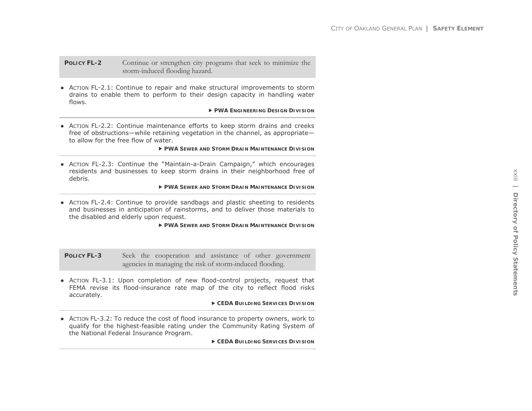**POLICY FL-2** Continue or strengthen city programs that seek to minimize the storm-induced flooding hazard.

● ACTION FL-2.1: Continue to repair and make structural improvements to storm drains to enable them to perform to their design capacity in handling water flows.

**PWA ENGINEERING DESIGN DIVISION**

● ACTION FL-2.2: Continue maintenance efforts to keep storm drains and creeks free of obstructions—while retaining vegetation in the channel, as appropriate to allow for the free flow of water.

**PWA SEWER AND STORM DRAIN MAINTENANCE DIVISION**

● ACTION FL-2.3: Continue the "Maintain-a-Drain Campaign," which encourages residents and businesses to keep storm drains in their neighborhood free of debris.

PWA SEWER AND STORM DRAIN MAINTENANCE DIVISION

• ACTION FL-2.4: Continue to provide sandbags and plastic sheeting to residents and businesses in anticipation of rainstorms, and to deliver those materials to the disabled and elderly upon request.

**<sup>y</sup> PWA SEWER AND STORM DRAIN MAINTENANCE DIVISION**

**POLICY FL-3** Seek the cooperation and assistance of other government agencies in managing the risk of storm-induced flooding.

**SECTION FL-3.1:** Upon completion of new flood-control projects, request that FEMA revise its flood-insurance rate map of the city to reflect flood risks accurately.

**CEDA BUILDING SERVICES DIVISION**

● ACTION FL-3.2: To reduce the cost of flood insurance to property owners, work to qualify for the highest-feasible rating under the Community Rating System of the National Federal Insurance Program.

**CEDA BUILDING SERVICES DIVISION**